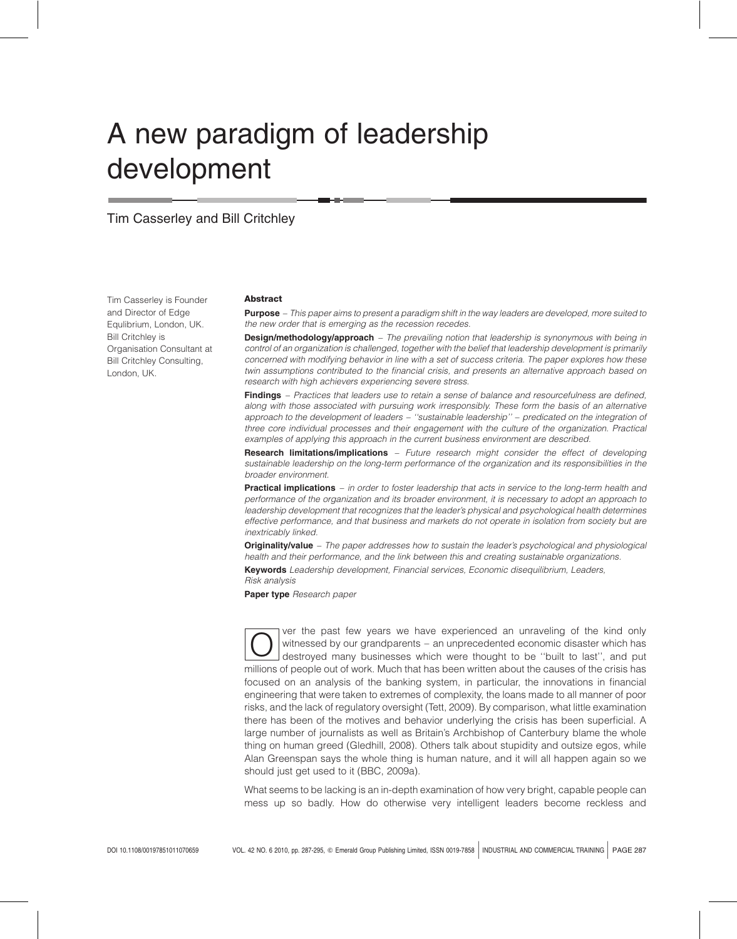# A new paradigm of leadership development

## Tim Casserley and Bill Critchley

Tim Casserley is Founder and Director of Edge Equlibrium, London, UK. Bill Critchley is Organisation Consultant at Bill Critchley Consulting, London, UK.

#### Abstract

Purpose – This paper aims to present a paradigm shift in the way leaders are developed, more suited to the new order that is emerging as the recession recedes.

**Design/methodology/approach** – The prevailing notion that leadership is synonymous with being in control of an organization is challenged, together with the belief that leadership development is primarily concerned with modifying behavior in line with a set of success criteria. The paper explores how these twin assumptions contributed to the financial crisis, and presents an alternative approach based on research with high achievers experiencing severe stress.

Findings – Practices that leaders use to retain a sense of balance and resourcefulness are defined, along with those associated with pursuing work irresponsibly. These form the basis of an alternative approach to the development of leaders – ''sustainable leadership'' – predicated on the integration of three core individual processes and their engagement with the culture of the organization. Practical examples of applying this approach in the current business environment are described.

**Research limitations/implications** – Future research might consider the effect of developing sustainable leadership on the long-term performance of the organization and its responsibilities in the broader environment.

Practical implications – in order to foster leadership that acts in service to the long-term health and performance of the organization and its broader environment, it is necessary to adopt an approach to leadership development that recognizes that the leader's physical and psychological health determines effective performance, and that business and markets do not operate in isolation from society but are inextricably linked.

Originality/value - The paper addresses how to sustain the leader's psychological and physiological health and their performance, and the link between this and creating sustainable organizations.

Keywords Leadership development, Financial services, Economic disequilibrium, Leaders,

Risk analysis

Paper type Research paper

O ver the past few years we have experienced an unraveling of the kind only witnessed by our grandparents – an unprecedented economic disaster which has destroyed many businesses which were thought to be "built to last", a witnessed by our grandparents – an unprecedented economic disaster which has millions of people out of work. Much that has been written about the causes of the crisis has focused on an analysis of the banking system, in particular, the innovations in financial engineering that were taken to extremes of complexity, the loans made to all manner of poor risks, and the lack of regulatory oversight (Tett, 2009). By comparison, what little examination there has been of the motives and behavior underlying the crisis has been superficial. A large number of journalists as well as Britain's Archbishop of Canterbury blame the whole thing on human greed (Gledhill, 2008). Others talk about stupidity and outsize egos, while Alan Greenspan says the whole thing is human nature, and it will all happen again so we should just get used to it (BBC, 2009a).

What seems to be lacking is an in-depth examination of how very bright, capable people can mess up so badly. How do otherwise very intelligent leaders become reckless and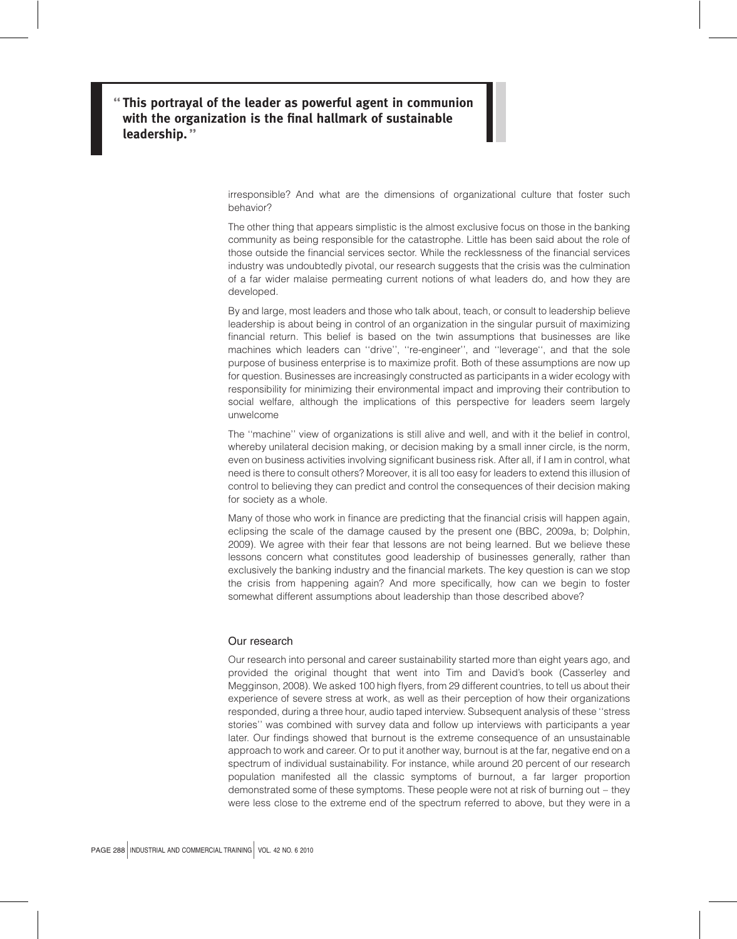'' This portrayal of the leader as powerful agent in communion with the organization is the final hallmark of sustainable leadership. ''

> irresponsible? And what are the dimensions of organizational culture that foster such behavior?

> The other thing that appears simplistic is the almost exclusive focus on those in the banking community as being responsible for the catastrophe. Little has been said about the role of those outside the financial services sector. While the recklessness of the financial services industry was undoubtedly pivotal, our research suggests that the crisis was the culmination of a far wider malaise permeating current notions of what leaders do, and how they are developed.

> By and large, most leaders and those who talk about, teach, or consult to leadership believe leadership is about being in control of an organization in the singular pursuit of maximizing financial return. This belief is based on the twin assumptions that businesses are like machines which leaders can ''drive'', ''re-engineer'', and ''leverage'', and that the sole purpose of business enterprise is to maximize profit. Both of these assumptions are now up for question. Businesses are increasingly constructed as participants in a wider ecology with responsibility for minimizing their environmental impact and improving their contribution to social welfare, although the implications of this perspective for leaders seem largely unwelcome

> The ''machine'' view of organizations is still alive and well, and with it the belief in control, whereby unilateral decision making, or decision making by a small inner circle, is the norm, even on business activities involving significant business risk. After all, if I am in control, what need is there to consult others? Moreover, it is all too easy for leaders to extend this illusion of control to believing they can predict and control the consequences of their decision making for society as a whole.

> Many of those who work in finance are predicting that the financial crisis will happen again, eclipsing the scale of the damage caused by the present one (BBC, 2009a, b; Dolphin, 2009). We agree with their fear that lessons are not being learned. But we believe these lessons concern what constitutes good leadership of businesses generally, rather than exclusively the banking industry and the financial markets. The key question is can we stop the crisis from happening again? And more specifically, how can we begin to foster somewhat different assumptions about leadership than those described above?

## Our research

Our research into personal and career sustainability started more than eight years ago, and provided the original thought that went into Tim and David's book (Casserley and Megginson, 2008). We asked 100 high flyers, from 29 different countries, to tell us about their experience of severe stress at work, as well as their perception of how their organizations responded, during a three hour, audio taped interview. Subsequent analysis of these ''stress stories'' was combined with survey data and follow up interviews with participants a year later. Our findings showed that burnout is the extreme consequence of an unsustainable approach to work and career. Or to put it another way, burnout is at the far, negative end on a spectrum of individual sustainability. For instance, while around 20 percent of our research population manifested all the classic symptoms of burnout, a far larger proportion demonstrated some of these symptoms. These people were not at risk of burning out – they were less close to the extreme end of the spectrum referred to above, but they were in a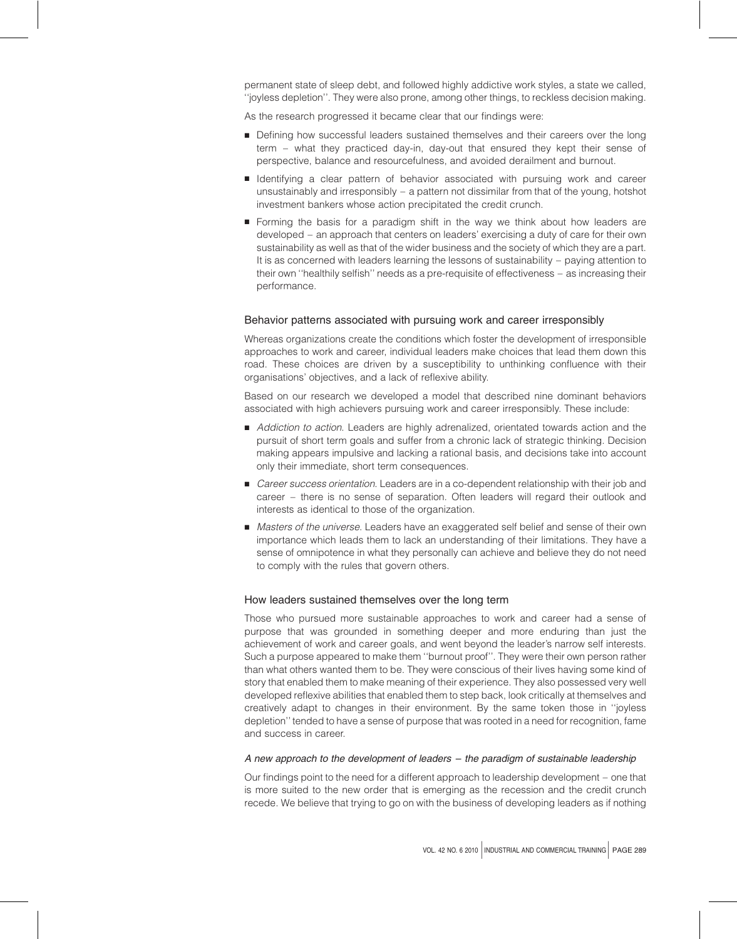permanent state of sleep debt, and followed highly addictive work styles, a state we called, ''joyless depletion''. They were also prone, among other things, to reckless decision making.

As the research progressed it became clear that our findings were:

- **Defining how successful leaders sustained themselves and their careers over the long** term – what they practiced day-in, day-out that ensured they kept their sense of perspective, balance and resourcefulness, and avoided derailment and burnout.
- <sup>B</sup> Identifying a clear pattern of behavior associated with pursuing work and career unsustainably and irresponsibly – a pattern not dissimilar from that of the young, hotshot investment bankers whose action precipitated the credit crunch.
- **Forming the basis for a paradigm shift in the way we think about how leaders are** developed – an approach that centers on leaders' exercising a duty of care for their own sustainability as well as that of the wider business and the society of which they are a part. It is as concerned with leaders learning the lessons of sustainability – paying attention to their own ''healthily selfish'' needs as a pre-requisite of effectiveness – as increasing their performance.

#### Behavior patterns associated with pursuing work and career irresponsibly

Whereas organizations create the conditions which foster the development of irresponsible approaches to work and career, individual leaders make choices that lead them down this road. These choices are driven by a susceptibility to unthinking confluence with their organisations' objectives, and a lack of reflexive ability.

Based on our research we developed a model that described nine dominant behaviors associated with high achievers pursuing work and career irresponsibly. These include:

- Addiction to action. Leaders are highly adrenalized, orientated towards action and the pursuit of short term goals and suffer from a chronic lack of strategic thinking. Decision making appears impulsive and lacking a rational basis, and decisions take into account only their immediate, short term consequences.
- **B** Career success orientation. Leaders are in a co-dependent relationship with their job and career – there is no sense of separation. Often leaders will regard their outlook and interests as identical to those of the organization.
- **B** Masters of the universe. Leaders have an exaggerated self belief and sense of their own importance which leads them to lack an understanding of their limitations. They have a sense of omnipotence in what they personally can achieve and believe they do not need to comply with the rules that govern others.

#### How leaders sustained themselves over the long term

Those who pursued more sustainable approaches to work and career had a sense of purpose that was grounded in something deeper and more enduring than just the achievement of work and career goals, and went beyond the leader's narrow self interests. Such a purpose appeared to make them ''burnout proof''. They were their own person rather than what others wanted them to be. They were conscious of their lives having some kind of story that enabled them to make meaning of their experience. They also possessed very well developed reflexive abilities that enabled them to step back, look critically at themselves and creatively adapt to changes in their environment. By the same token those in ''joyless depletion'' tended to have a sense of purpose that was rooted in a need for recognition, fame and success in career.

#### A new approach to the development of leaders – the paradigm of sustainable leadership

Our findings point to the need for a different approach to leadership development – one that is more suited to the new order that is emerging as the recession and the credit crunch recede. We believe that trying to go on with the business of developing leaders as if nothing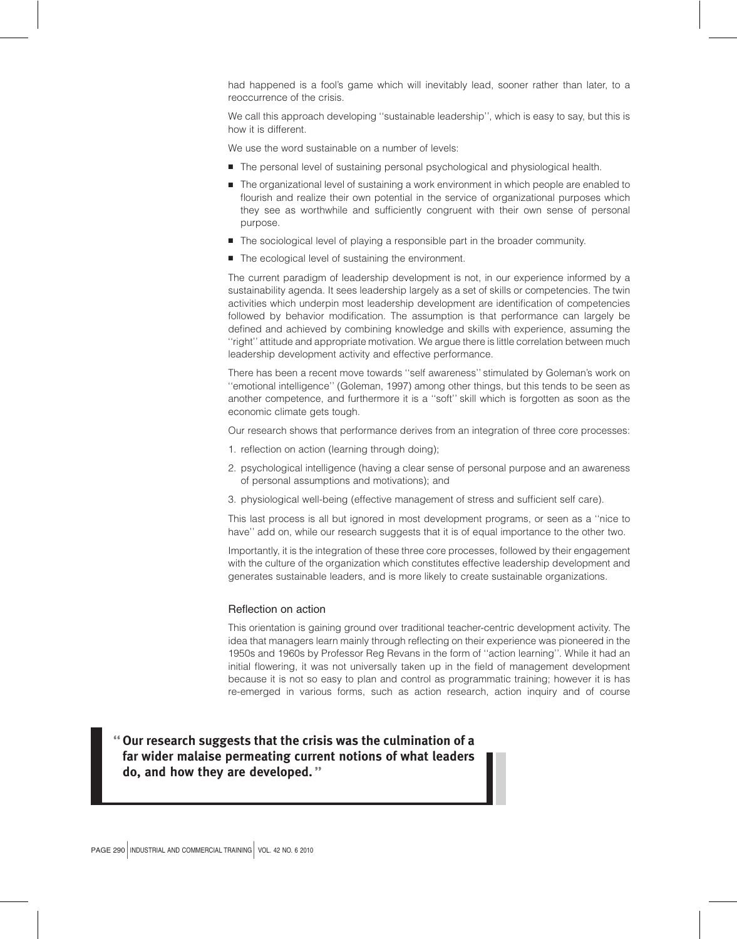had happened is a fool's game which will inevitably lead, sooner rather than later, to a reoccurrence of the crisis.

We call this approach developing ''sustainable leadership'', which is easy to say, but this is how it is different.

We use the word sustainable on a number of levels:

- **B** The personal level of sustaining personal psychological and physiological health.
- **F** The organizational level of sustaining a work environment in which people are enabled to flourish and realize their own potential in the service of organizational purposes which they see as worthwhile and sufficiently congruent with their own sense of personal purpose.
- $\blacksquare$  The sociological level of playing a responsible part in the broader community.
- The ecological level of sustaining the environment.

The current paradigm of leadership development is not, in our experience informed by a sustainability agenda. It sees leadership largely as a set of skills or competencies. The twin activities which underpin most leadership development are identification of competencies followed by behavior modification. The assumption is that performance can largely be defined and achieved by combining knowledge and skills with experience, assuming the ''right'' attitude and appropriate motivation. We argue there is little correlation between much leadership development activity and effective performance.

There has been a recent move towards ''self awareness'' stimulated by Goleman's work on ''emotional intelligence'' (Goleman, 1997) among other things, but this tends to be seen as another competence, and furthermore it is a ''soft'' skill which is forgotten as soon as the economic climate gets tough.

Our research shows that performance derives from an integration of three core processes:

- 1. reflection on action (learning through doing);
- 2. psychological intelligence (having a clear sense of personal purpose and an awareness of personal assumptions and motivations); and
- 3. physiological well-being (effective management of stress and sufficient self care).

This last process is all but ignored in most development programs, or seen as a ''nice to have'' add on, while our research suggests that it is of equal importance to the other two.

Importantly, it is the integration of these three core processes, followed by their engagement with the culture of the organization which constitutes effective leadership development and generates sustainable leaders, and is more likely to create sustainable organizations.

## Reflection on action

This orientation is gaining ground over traditional teacher-centric development activity. The idea that managers learn mainly through reflecting on their experience was pioneered in the 1950s and 1960s by Professor Reg Revans in the form of ''action learning''. While it had an initial flowering, it was not universally taken up in the field of management development because it is not so easy to plan and control as programmatic training; however it is has re-emerged in various forms, such as action research, action inquiry and of course

''Our research suggests that the crisis was the culmination of a far wider malaise permeating current notions of what leaders do, and how they are developed. ''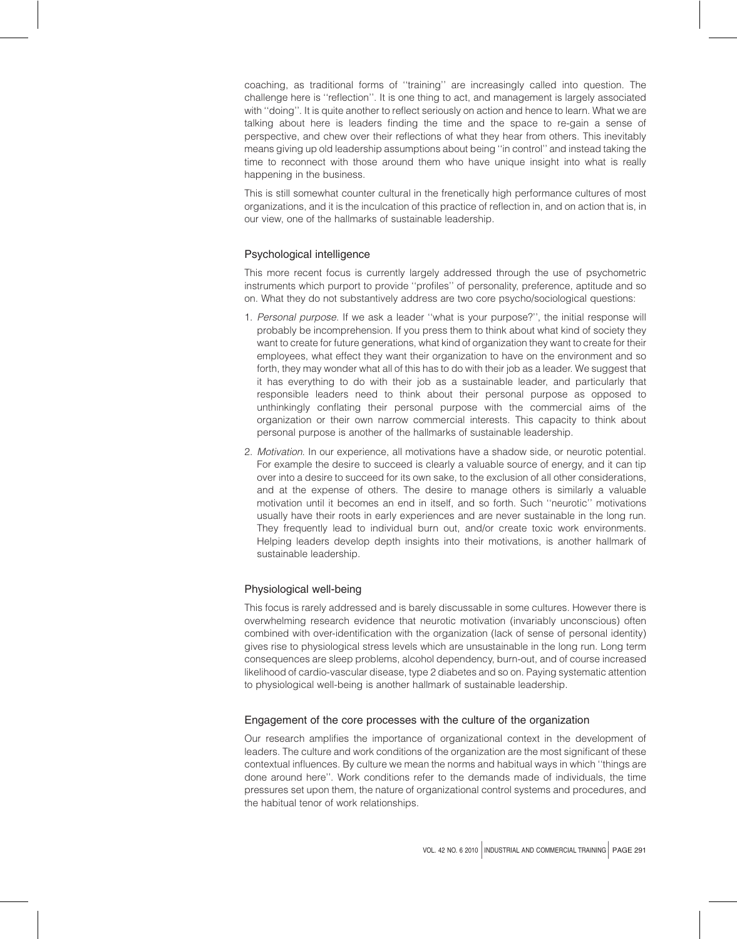coaching, as traditional forms of ''training'' are increasingly called into question. The challenge here is ''reflection''. It is one thing to act, and management is largely associated with ''doing''. It is quite another to reflect seriously on action and hence to learn. What we are talking about here is leaders finding the time and the space to re-gain a sense of perspective, and chew over their reflections of what they hear from others. This inevitably means giving up old leadership assumptions about being ''in control'' and instead taking the time to reconnect with those around them who have unique insight into what is really happening in the business.

This is still somewhat counter cultural in the frenetically high performance cultures of most organizations, and it is the inculcation of this practice of reflection in, and on action that is, in our view, one of the hallmarks of sustainable leadership.

## Psychological intelligence

This more recent focus is currently largely addressed through the use of psychometric instruments which purport to provide ''profiles'' of personality, preference, aptitude and so on. What they do not substantively address are two core psycho/sociological questions:

- 1. Personal purpose. If we ask a leader ''what is your purpose?'', the initial response will probably be incomprehension. If you press them to think about what kind of society they want to create for future generations, what kind of organization they want to create for their employees, what effect they want their organization to have on the environment and so forth, they may wonder what all of this has to do with their job as a leader. We suggest that it has everything to do with their job as a sustainable leader, and particularly that responsible leaders need to think about their personal purpose as opposed to unthinkingly conflating their personal purpose with the commercial aims of the organization or their own narrow commercial interests. This capacity to think about personal purpose is another of the hallmarks of sustainable leadership.
- 2. Motivation. In our experience, all motivations have a shadow side, or neurotic potential. For example the desire to succeed is clearly a valuable source of energy, and it can tip over into a desire to succeed for its own sake, to the exclusion of all other considerations, and at the expense of others. The desire to manage others is similarly a valuable motivation until it becomes an end in itself, and so forth. Such ''neurotic'' motivations usually have their roots in early experiences and are never sustainable in the long run. They frequently lead to individual burn out, and/or create toxic work environments. Helping leaders develop depth insights into their motivations, is another hallmark of sustainable leadership.

## Physiological well-being

This focus is rarely addressed and is barely discussable in some cultures. However there is overwhelming research evidence that neurotic motivation (invariably unconscious) often combined with over-identification with the organization (lack of sense of personal identity) gives rise to physiological stress levels which are unsustainable in the long run. Long term consequences are sleep problems, alcohol dependency, burn-out, and of course increased likelihood of cardio-vascular disease, type 2 diabetes and so on. Paying systematic attention to physiological well-being is another hallmark of sustainable leadership.

## Engagement of the core processes with the culture of the organization

Our research amplifies the importance of organizational context in the development of leaders. The culture and work conditions of the organization are the most significant of these contextual influences. By culture we mean the norms and habitual ways in which ''things are done around here''. Work conditions refer to the demands made of individuals, the time pressures set upon them, the nature of organizational control systems and procedures, and the habitual tenor of work relationships.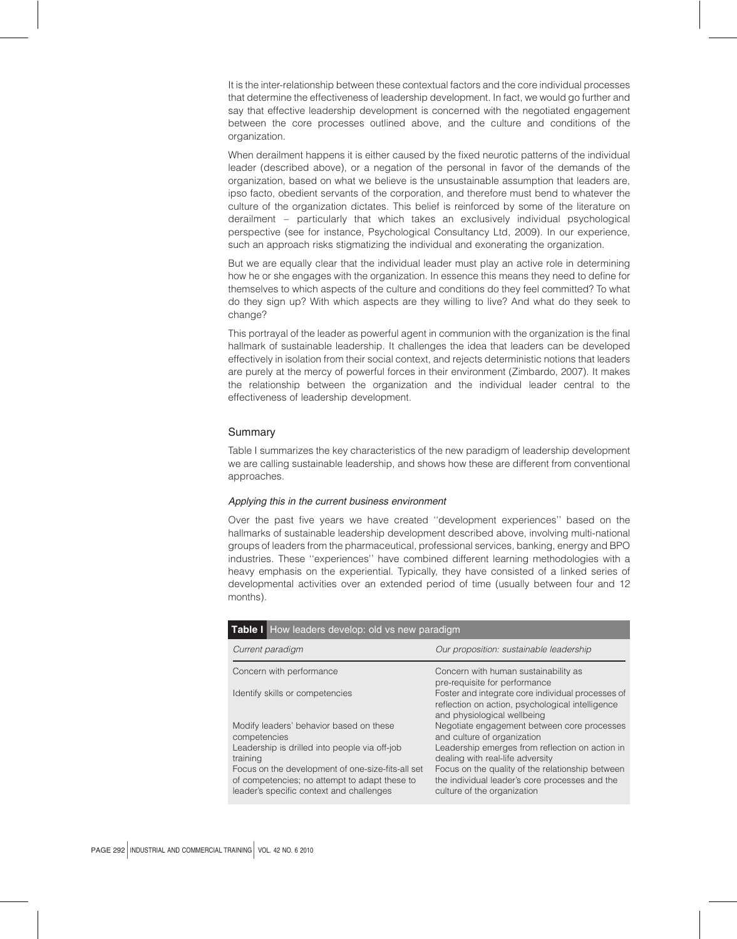It is the inter-relationship between these contextual factors and the core individual processes that determine the effectiveness of leadership development. In fact, we would go further and say that effective leadership development is concerned with the negotiated engagement between the core processes outlined above, and the culture and conditions of the organization.

When derailment happens it is either caused by the fixed neurotic patterns of the individual leader (described above), or a negation of the personal in favor of the demands of the organization, based on what we believe is the unsustainable assumption that leaders are, ipso facto, obedient servants of the corporation, and therefore must bend to whatever the culture of the organization dictates. This belief is reinforced by some of the literature on derailment – particularly that which takes an exclusively individual psychological perspective (see for instance, Psychological Consultancy Ltd, 2009). In our experience, such an approach risks stigmatizing the individual and exonerating the organization.

But we are equally clear that the individual leader must play an active role in determining how he or she engages with the organization. In essence this means they need to define for themselves to which aspects of the culture and conditions do they feel committed? To what do they sign up? With which aspects are they willing to live? And what do they seek to change?

This portrayal of the leader as powerful agent in communion with the organization is the final hallmark of sustainable leadership. It challenges the idea that leaders can be developed effectively in isolation from their social context, and rejects deterministic notions that leaders are purely at the mercy of powerful forces in their environment (Zimbardo, 2007). It makes the relationship between the organization and the individual leader central to the effectiveness of leadership development.

## **Summary**

Table I summarizes the key characteristics of the new paradigm of leadership development we are calling sustainable leadership, and shows how these are different from conventional approaches.

#### Applying this in the current business environment

Over the past five years we have created ''development experiences'' based on the hallmarks of sustainable leadership development described above, involving multi-national groups of leaders from the pharmaceutical, professional services, banking, energy and BPO industries. These ''experiences'' have combined different learning methodologies with a heavy emphasis on the experiential. Typically, they have consisted of a linked series of developmental activities over an extended period of time (usually between four and 12 months).

| Table I How leaders develop: old vs new paradigm                                                                                               |                                                                                                                                      |
|------------------------------------------------------------------------------------------------------------------------------------------------|--------------------------------------------------------------------------------------------------------------------------------------|
| Current paradigm                                                                                                                               | Our proposition: sustainable leadership                                                                                              |
| Concern with performance                                                                                                                       | Concern with human sustainability as<br>pre-requisite for performance                                                                |
| Identify skills or competencies                                                                                                                | Foster and integrate core individual processes of<br>reflection on action, psychological intelligence<br>and physiological wellbeing |
| Modify leaders' behavior based on these<br>competencies                                                                                        | Negotiate engagement between core processes<br>and culture of organization                                                           |
| Leadership is drilled into people via off-job<br>training                                                                                      | Leadership emerges from reflection on action in<br>dealing with real-life adversity                                                  |
| Focus on the development of one-size-fits-all set<br>of competencies; no attempt to adapt these to<br>leader's specific context and challenges | Focus on the quality of the relationship between<br>the individual leader's core processes and the<br>culture of the organization    |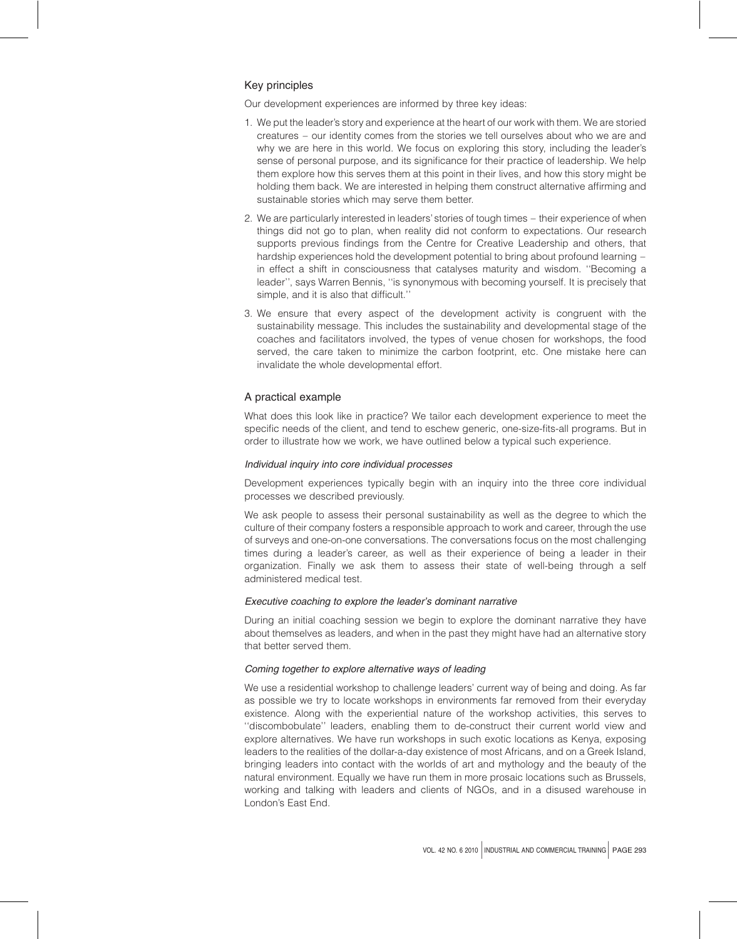## Key principles

Our development experiences are informed by three key ideas:

- 1. We put the leader's story and experience at the heart of our work with them. We are storied creatures – our identity comes from the stories we tell ourselves about who we are and why we are here in this world. We focus on exploring this story, including the leader's sense of personal purpose, and its significance for their practice of leadership. We help them explore how this serves them at this point in their lives, and how this story might be holding them back. We are interested in helping them construct alternative affirming and sustainable stories which may serve them better.
- 2. We are particularly interested in leaders' stories of tough times their experience of when things did not go to plan, when reality did not conform to expectations. Our research supports previous findings from the Centre for Creative Leadership and others, that hardship experiences hold the development potential to bring about profound learning – in effect a shift in consciousness that catalyses maturity and wisdom. ''Becoming a leader'', says Warren Bennis, ''is synonymous with becoming yourself. It is precisely that simple, and it is also that difficult.''
- 3. We ensure that every aspect of the development activity is congruent with the sustainability message. This includes the sustainability and developmental stage of the coaches and facilitators involved, the types of venue chosen for workshops, the food served, the care taken to minimize the carbon footprint, etc. One mistake here can invalidate the whole developmental effort.

## A practical example

What does this look like in practice? We tailor each development experience to meet the specific needs of the client, and tend to eschew generic, one-size-fits-all programs. But in order to illustrate how we work, we have outlined below a typical such experience.

#### Individual inquiry into core individual processes

Development experiences typically begin with an inquiry into the three core individual processes we described previously.

We ask people to assess their personal sustainability as well as the degree to which the culture of their company fosters a responsible approach to work and career, through the use of surveys and one-on-one conversations. The conversations focus on the most challenging times during a leader's career, as well as their experience of being a leader in their organization. Finally we ask them to assess their state of well-being through a self administered medical test.

## Executive coaching to explore the leader's dominant narrative

During an initial coaching session we begin to explore the dominant narrative they have about themselves as leaders, and when in the past they might have had an alternative story that better served them.

## Coming together to explore alternative ways of leading

We use a residential workshop to challenge leaders' current way of being and doing. As far as possible we try to locate workshops in environments far removed from their everyday existence. Along with the experiential nature of the workshop activities, this serves to ''discombobulate'' leaders, enabling them to de-construct their current world view and explore alternatives. We have run workshops in such exotic locations as Kenya, exposing leaders to the realities of the dollar-a-day existence of most Africans, and on a Greek Island, bringing leaders into contact with the worlds of art and mythology and the beauty of the natural environment. Equally we have run them in more prosaic locations such as Brussels, working and talking with leaders and clients of NGOs, and in a disused warehouse in London's East End.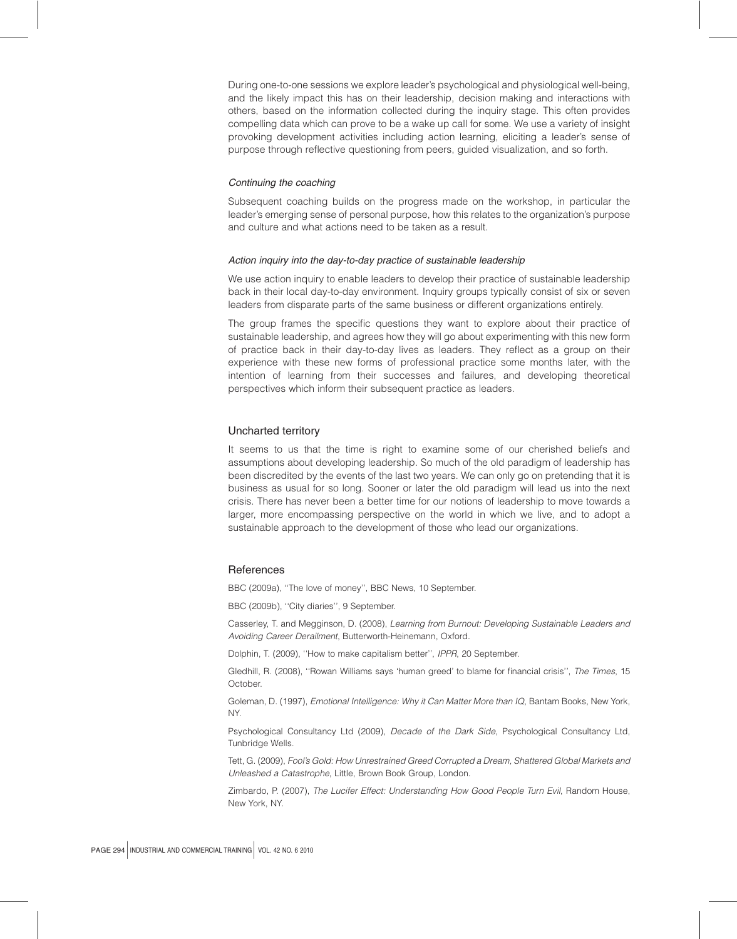During one-to-one sessions we explore leader's psychological and physiological well-being, and the likely impact this has on their leadership, decision making and interactions with others, based on the information collected during the inquiry stage. This often provides compelling data which can prove to be a wake up call for some. We use a variety of insight provoking development activities including action learning, eliciting a leader's sense of purpose through reflective questioning from peers, guided visualization, and so forth.

#### Continuing the coaching

Subsequent coaching builds on the progress made on the workshop, in particular the leader's emerging sense of personal purpose, how this relates to the organization's purpose and culture and what actions need to be taken as a result.

#### Action inquiry into the day-to-day practice of sustainable leadership

We use action inquiry to enable leaders to develop their practice of sustainable leadership back in their local day-to-day environment. Inquiry groups typically consist of six or seven leaders from disparate parts of the same business or different organizations entirely.

The group frames the specific questions they want to explore about their practice of sustainable leadership, and agrees how they will go about experimenting with this new form of practice back in their day-to-day lives as leaders. They reflect as a group on their experience with these new forms of professional practice some months later, with the intention of learning from their successes and failures, and developing theoretical perspectives which inform their subsequent practice as leaders.

#### Uncharted territory

It seems to us that the time is right to examine some of our cherished beliefs and assumptions about developing leadership. So much of the old paradigm of leadership has been discredited by the events of the last two years. We can only go on pretending that it is business as usual for so long. Sooner or later the old paradigm will lead us into the next crisis. There has never been a better time for our notions of leadership to move towards a larger, more encompassing perspective on the world in which we live, and to adopt a sustainable approach to the development of those who lead our organizations.

#### References

BBC (2009a), ''The love of money'', BBC News, 10 September.

BBC (2009b), ''City diaries'', 9 September.

Casserley, T. and Megginson, D. (2008), Learning from Burnout: Developing Sustainable Leaders and Avoiding Career Derailment, Butterworth-Heinemann, Oxford.

Dolphin, T. (2009), ''How to make capitalism better'', IPPR, 20 September.

Gledhill, R. (2008), "Rowan Williams says 'human greed' to blame for financial crisis", The Times, 15 **October** 

Goleman, D. (1997), Emotional Intelligence: Why it Can Matter More than IQ, Bantam Books, New York, NY.

Psychological Consultancy Ltd (2009), Decade of the Dark Side, Psychological Consultancy Ltd, Tunbridge Wells.

Tett, G. (2009), Fool's Gold: How Unrestrained Greed Corrupted a Dream, Shattered Global Markets and Unleashed a Catastrophe, Little, Brown Book Group, London.

Zimbardo, P. (2007), The Lucifer Effect: Understanding How Good People Turn Evil, Random House, New York, NY.